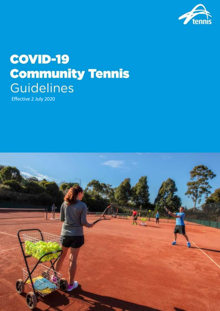

# **COVID-19 Community Tennis Guidelines**

Effective 2 July 2020

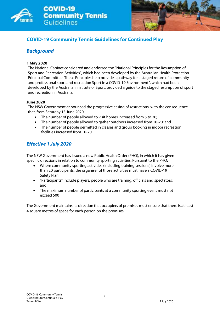



## **COVID-19 Community Tennis Guidelines for Continued Play**

### *Background*

#### **1 May 2020**

The National Cabinet considered and endorsed the "National Principles for the Resumption of Sport and Recreation Activities", which had been developed by the Australian Health Protection Principal Committee. These Principles help provide a pathway for a staged return of community and professional sport and recreation Sport in a COVID-19 Environment", which had been developed by the Australian Institute of Sport, provided a guide to the staged resumption of sport and recreation in Australia.

#### **June 2020**

The NSW Government announced the progressive easing of restrictions, with the consequence that, from Saturday 13 June 2020:

- The number of people allowed to visit homes increased from 5 to 20;
- The number of people allowed to gather outdoors increased from 10-20; and
- The number of people permitted in classes and group booking in indoor recreation facilities increased from 10-20

## *Effective 1 July 2020*

The NSW Government has issued a new Public Health Order (PHO), in which it has given specific directions in relation to community sporting activities. Pursuant to the PHO:

- Where community sporting activities (including training sessions) involve more than 20 participants, the organiser of those activities must have a COVID-19 Safety Plan;
- "Participants" include players, people who are training, officials and spectators; and;
- The maximum number of participants at a community sporting event must not exceed 500

The Government maintains its direction that occupiers of premises must ensure that there is at least 4 square metres of space for each person on the premises.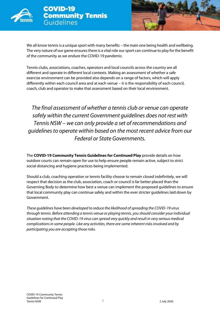



We all know tennis is a unique sport with many benefits – the main one being health and wellbeing. The very nature of our game ensures there is a vital role our sport can continue to play for the benefit of the community as we endure the COVID-19 pandemic.

Tennis clubs, associations, coaches, operators and local councils across the country are all different and operate in different local contexts. Making an assessment of whether a safe exercise environment can be provided also depends on a range of factors, which will apply differently within each council area and at each venue – it is the responsibility of each council, coach, club and operator to make that assessment based on their local environment.

*The final assessment of whether a tennis club or venue can operate safely within the current Government guidelines does not rest with Tennis NSW – we can only provide a set of recommendations and guidelines to operate within based on the most recent advice from our Federal or State Governments.*

The **COVID-19 Community Tennis Guidelines for Continued Play** provide details on how outdoor courts can remain open for use to help ensure people remain active, subject to strict social distancing and hygiene practices being implemented.

Should a club, coaching operation or tennis facility choose to remain closed indefinitely, we will respect that decision as the club, association, coach or council is far better placed than the Governing Body to determine how best a venue can implement the proposed guidelines to ensure that local community play can continue safely and within the ever stricter guidelines laid down by Government.

*These guidelines have been developed to reduce the likelihood of spreading the COVID-19 virus through tennis. Before attending a tennis venue or playing tennis, you should consider your individual situation noting that the COVID-19 virus can spread very quickly and result in very serious medical complications in some people. Like any activities, there are some inherent risks involved and by participating you are accepting those risks.*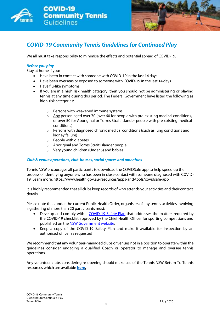

*.*



## *COVID-19 Community Tennis Guidelines for Continued Play*

We all must take responsibility to minimise the effects and potential spread of COVID-19.

#### *Before you play*

Stay at home if you:

- Have been in contact with someone with COVID-19 in the last 14 days
- Have been overseas or exposed to someone with COVID-19 in the last 14 days
- Have flu-like symptoms
- If you are in a high risk health category, then you should not be administering or playing tennis at any time during this period. The Federal Government have listed the following as high-risk categories:
	- o Persons with weakene[d immune](https://www.healthdirect.gov.au/immune-system) systems
	- $\circ$  [Any](https://www.healthdirect.gov.au/coronavirus-covid-19-information-for-older-australians-faqs) person aged over 70 (over 60 for people with pre-existing medical conditions, or over 50 for Aboriginal or Torres Strait Islander people with pre-existing medical conditions)
	- $\circ$  Persons with diagnosed chronic medical conditions (such a[s lung conditions](https://www.healthdirect.gov.au/lung-conditions) and kidney failure)
	- o People with [diabetes](https://www.healthdirect.gov.au/diabetes)
	- o Aboriginal and Torres Strait Islander people
	- o Very young children (Under 5) and babies

#### *Club & venue operations, club-houses, social spaces and amenities*

Tennis NSW encourages all participants to download the COVIDSafe app to help speed up the process of identifying anyone who has been in close contact with someone diagnosed with COVID-19. Learn more: http[s://www.health.gov.au/resources/apps-and-tools/covidsafe-app](http://www.health.gov.au/resources/apps-and-tools/covidsafe-app)

It is highly recommended that all clubs keep records of who attends your activities and their contact details.

Please note that, under the current Public Health Order, organisers of any tennis activities involving a gathering of more than 20 participants must:

- Develop and comply with a [COVID-19 Safety Plan](https://www.nsw.gov.au/sites/default/files/2020-06/Covid-19-safety-plan-general.pdf) that addresses the matters required by the COVID-19 checklist approved by the Chief Health Officer for sporting competitions and published on th[e NSW Government website;](https://www.nsw.gov.au/)
- Keep a copy of the COVID-19 Safety Plan and make it available for inspection by an authorised officer as requested

We recommend that any volunteer-managed clubs or venues not in a position to operate within the guidelines consider engaging a qualified Coach or operator to manage and oversee tennis operations.

Any volunteer clubs considering re-opening should make use of the Tennis NSW Return To Tennis resources which are available **[here.](https://www.tennis.com.au/nsw/news-and-events/covidresources)**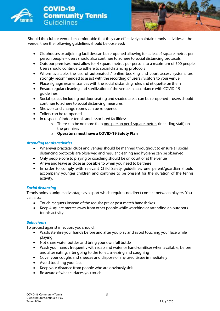



Should the club or venue be comfortable that they can effectively maintain tennis activities at the venue, then the following guidelines should be observed:

- Clubhouses or adjoining facilities can be re-opened allowing for at least 4 square metres per person people – users should also continue to adhere to social distancing protocols
- Outdoor premises must allow for 4 square metres per person, to a maximum of 500 people. Users should continue to adhere to social distancing protocols
- Where available, the use of automated / online booking and court access systems are strongly recommended to assist with the recording of users / visitors to your venue.
- Place signage near entrances with the social distancing rules and etiquette on them
- Ensure regular cleaning and sterilization of the venue in accordance with COVID-19 guidelines
- Social spaces including outdoor seating and shaded areas can be re-opened users should continue to adhere to social distancing measures
- Showers and change rooms can be re-opened
- Toilets can be re-opened
- In respect of indoor tennis and associated facilities:
	- $\circ$  There can be no more than one person per 4 square metres (including staff) on the premises
	- o **Operators must have a COVID-19 Safety Plan**

#### *Attending tennis activities*

- Wherever practical, clubs and venues should be manned throughout to ensure all social distancing protocols are observed and regular cleaning and hygiene can be observed
- Only people core to playing or coaching should be on court or at the venue
- Arrive and leave as close as possible to when you need to be there
- In order to comply with relevant Child Safety quidelines, one parent/quardian should accompany younger children and continue to be present for the duration of the tennis activity.

#### *Social distancing*

Tennis holds a unique advantage as a sport which requires no direct contact between players. You can also:

- Touch racquets instead of the regular pre or post match handshakes
- Keep 4 square metres away from other people while watching or attending an outdoors tennis activity.

#### *Behaviours*

To protect against infection, you should:

- Wash/sterilise your hands before and after you play and avoid touching your face while playing
- Not share water bottles and bring your own full bottle
- Wash your hands frequently with soap and water or hand-sanitiser when available, before and after eating, after going to the toilet, sneezing and coughing
- Cover your coughs and sneezes and dispose of any used tissue immediately
- Avoid touching your face
- Keep your distance from people who are obviously sick
- Be aware of what surfaces you touch.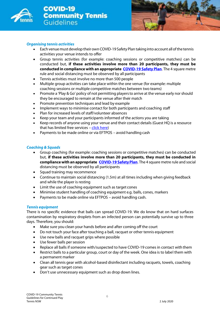

**COVID-19 Community Tennis** Guidelines



#### *Organising tennis activities*

- Each venuemust develop theirownCOVID-19 Safety Plan taking into account allofthe tennis activities your venue intends to offer
- Group tennis activities (for example: coaching sessions or competitive matches) can be conducted but, **if these activities involve more than 20 participants, they must be conducted in compliance with an appropriate [COVID-19 Safety Plan](https://www.nsw.gov.au/sites/default/files/2020-06/Covid-19-safety-plan-general.pdf)**. The 4 square metre rule and social distancing must be observed by all participants
- Tennis activities must involve no more than 500 people
- Multiple group activities can take place within the one venue (for example: multiple coaching sessions or multiple competitive matches between two teams)
- Promote a 'Play & Go' policy of not permitting players to arrive at the venue early nor should they be encouraged to remain at the venue after their match
- Promote prevention techniques and lead by example
- Implement ways to minimise contact for both participants and coaching staff
- Plan for increased levels of staff/volunteer absences
- Keep your team and your participants informed of the actions you are taking
- Keep records of anyone using your venue and their contact details (Guest HQ is a resource that has limited free services – [click here\)](https://www.guesthq.com.au/entry)
- Payments to be made online or via EFTPOS avoid handling cash

#### *Coaching & Squads*

- Group coaching (for example: coaching sessions or competitive matches) can be conducted but, **if these activities involve more than 20 participants, they must be conducted in compliance with an appropriate [COVID-19 Safety Plan](https://www.nsw.gov.au/sites/default/files/2020-06/Covid-19-safety-plan-general.pdf)**. The 4 square metre rule and social distancing must be observed by all participants
- Squad training may recommence
- Continue to maintain social distancing (1.5m) at all times including when giving feedback and while the player is resting
- Limit the use of coaching equipment such as target cones
- Minimise student handling of coaching equipment e.g. balls, cones, markers
- Payments to be made online via EFTPOS avoid handling cash.

#### *Tennis equipment*

There is no specific evidence that balls can spread COVID-19. We do know that on hard surfaces contamination by respiratory droplets from an infected person can potentially survive up to three days. Therefore, you should:

- Make sure you clean your hands before and after coming off the court
- Do not touch your face after touching a ball, racquet or other tennis equipment
- Use new balls and racquet grips where possible
- Use fewer balls per session
- Replace all balls if someone with/suspected to have COVID-19 comes in contact with them
- Restrict balls to a particular group, court or day of the week. One idea is to label them with a permanent marker
- Clean all tennis gear with alcohol-based disinfectant including racquets, towels, coaching gear such as target cones
- Don't use unnecessary equipment such as drop down lines.